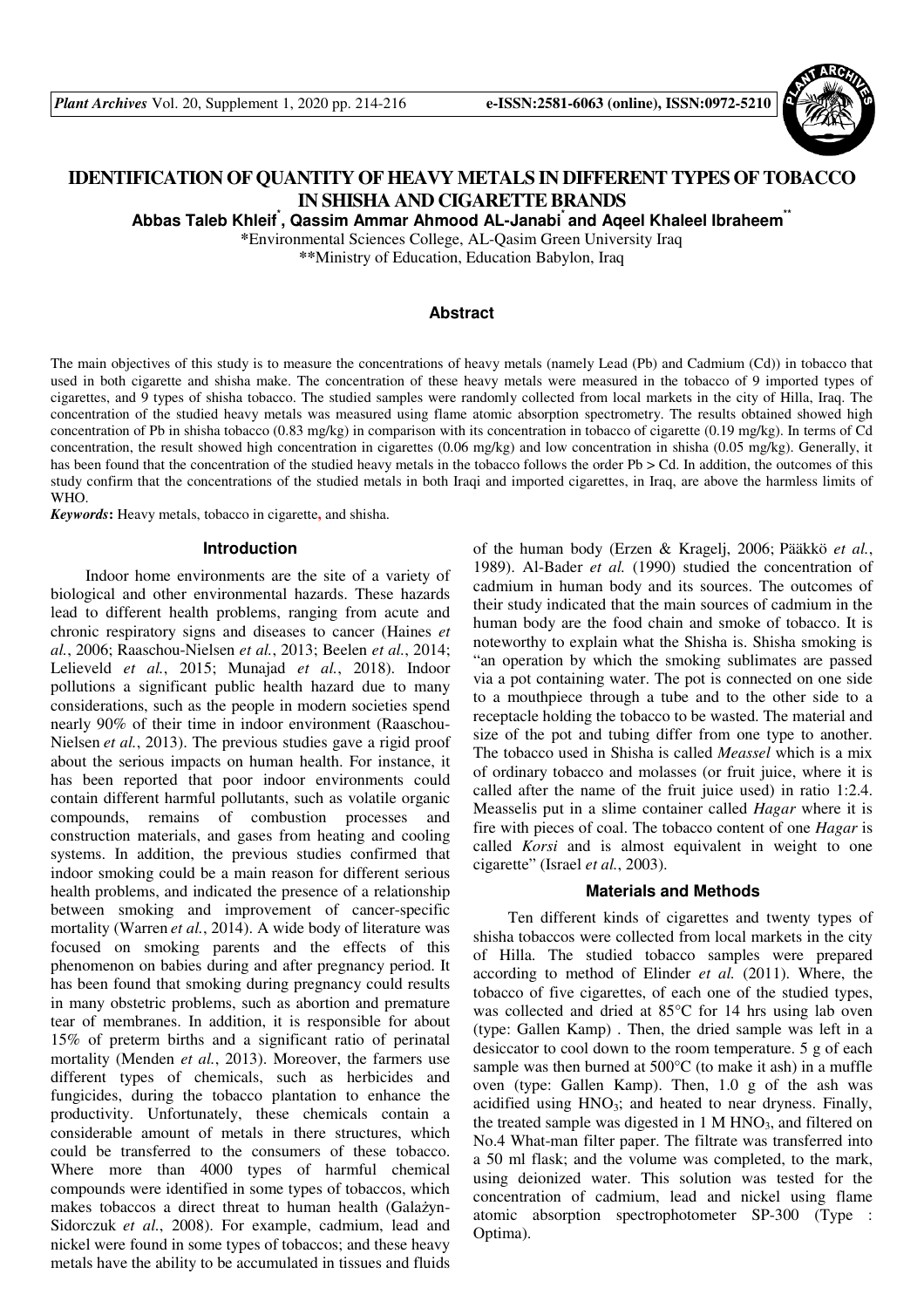

# **IDENTIFICATION OF QUANTITY OF HEAVY METALS IN DIFFERENT TYPES OF TOBACCO IN SHISHA AND CIGARETTE BRANDS**

**Abbas Taleb Khleif\* , Qassim Ammar Ahmood AL-Janabi\* and Aqeel Khaleel Ibraheem\*\*** 

**\***Environmental Sciences College, AL-Qasim Green University Iraq

**\*\***Ministry of Education, Education Babylon, Iraq

# **Abstract**

The main objectives of this study is to measure the concentrations of heavy metals (namely Lead (Pb) and Cadmium (Cd)) in tobacco that used in both cigarette and shisha make. The concentration of these heavy metals were measured in the tobacco of 9 imported types of cigarettes, and 9 types of shisha tobacco. The studied samples were randomly collected from local markets in the city of Hilla, Iraq. The concentration of the studied heavy metals was measured using flame atomic absorption spectrometry. The results obtained showed high concentration of Pb in shisha tobacco (0.83 mg/kg) in comparison with its concentration in tobacco of cigarette (0.19 mg/kg). In terms of Cd concentration, the result showed high concentration in cigarettes (0.06 mg/kg) and low concentration in shisha (0.05 mg/kg). Generally, it has been found that the concentration of the studied heavy metals in the tobacco follows the order Pb > Cd. In addition, the outcomes of this study confirm that the concentrations of the studied metals in both Iraqi and imported cigarettes, in Iraq, are above the harmless limits of WHO.

*Keywords***:** Heavy metals, tobacco in cigarette**,** and shisha.

#### **Introduction**

Indoor home environments are the site of a variety of biological and other environmental hazards. These hazards lead to different health problems, ranging from acute and chronic respiratory signs and diseases to cancer (Haines *et al.*, 2006; Raaschou-Nielsen *et al.*, 2013; Beelen *et al.*, 2014; Lelieveld *et al.*, 2015; Munajad *et al.*, 2018). Indoor pollutions a significant public health hazard due to many considerations, such as the people in modern societies spend nearly 90% of their time in indoor environment (Raaschou-Nielsen *et al.*, 2013). The previous studies gave a rigid proof about the serious impacts on human health. For instance, it has been reported that poor indoor environments could contain different harmful pollutants, such as volatile organic compounds, remains of combustion processes and construction materials, and gases from heating and cooling systems. In addition, the previous studies confirmed that indoor smoking could be a main reason for different serious health problems, and indicated the presence of a relationship between smoking and improvement of cancer-specific mortality (Warren *et al.*, 2014). A wide body of literature was focused on smoking parents and the effects of this phenomenon on babies during and after pregnancy period. It has been found that smoking during pregnancy could results in many obstetric problems, such as abortion and premature tear of membranes. In addition, it is responsible for about 15% of preterm births and a significant ratio of perinatal mortality (Menden *et al.*, 2013). Moreover, the farmers use different types of chemicals, such as herbicides and fungicides, during the tobacco plantation to enhance the productivity. Unfortunately, these chemicals contain a considerable amount of metals in there structures, which could be transferred to the consumers of these tobacco. Where more than 4000 types of harmful chemical compounds were identified in some types of tobaccos, which makes tobaccos a direct threat to human health (Galażyn-Sidorczuk *et al.*, 2008). For example, cadmium, lead and nickel were found in some types of tobaccos; and these heavy metals have the ability to be accumulated in tissues and fluids

of the human body (Erzen & Kragelj, 2006; Pääkkö *et al.*, 1989). Al-Bader *et al.* (1990) studied the concentration of cadmium in human body and its sources. The outcomes of their study indicated that the main sources of cadmium in the human body are the food chain and smoke of tobacco. It is noteworthy to explain what the Shisha is. Shisha smoking is "an operation by which the smoking sublimates are passed via a pot containing water. The pot is connected on one side to a mouthpiece through a tube and to the other side to a receptacle holding the tobacco to be wasted. The material and size of the pot and tubing differ from one type to another. The tobacco used in Shisha is called *Meassel* which is a mix of ordinary tobacco and molasses (or fruit juice, where it is called after the name of the fruit juice used) in ratio 1:2.4. Measselis put in a slime container called *Hagar* where it is fire with pieces of coal. The tobacco content of one *Hagar* is called *Korsi* and is almost equivalent in weight to one cigarette" (Israel *et al.*, 2003).

### **Materials and Methods**

Ten different kinds of cigarettes and twenty types of shisha tobaccos were collected from local markets in the city of Hilla. The studied tobacco samples were prepared according to method of Elinder *et al.* (2011). Where, the tobacco of five cigarettes, of each one of the studied types, was collected and dried at 85°C for 14 hrs using lab oven (type: Gallen Kamp) . Then, the dried sample was left in a desiccator to cool down to the room temperature. 5 g of each sample was then burned at 500°C (to make it ash) in a muffle oven (type: Gallen Kamp). Then, 1.0 g of the ash was acidified using  $HNO_3$ ; and heated to near dryness. Finally, the treated sample was digested in  $1 M HNO<sub>3</sub>$ , and filtered on No.4 What-man filter paper. The filtrate was transferred into a 50 ml flask; and the volume was completed, to the mark, using deionized water. This solution was tested for the concentration of cadmium, lead and nickel using flame atomic absorption spectrophotometer SP-300 (Type : Optima).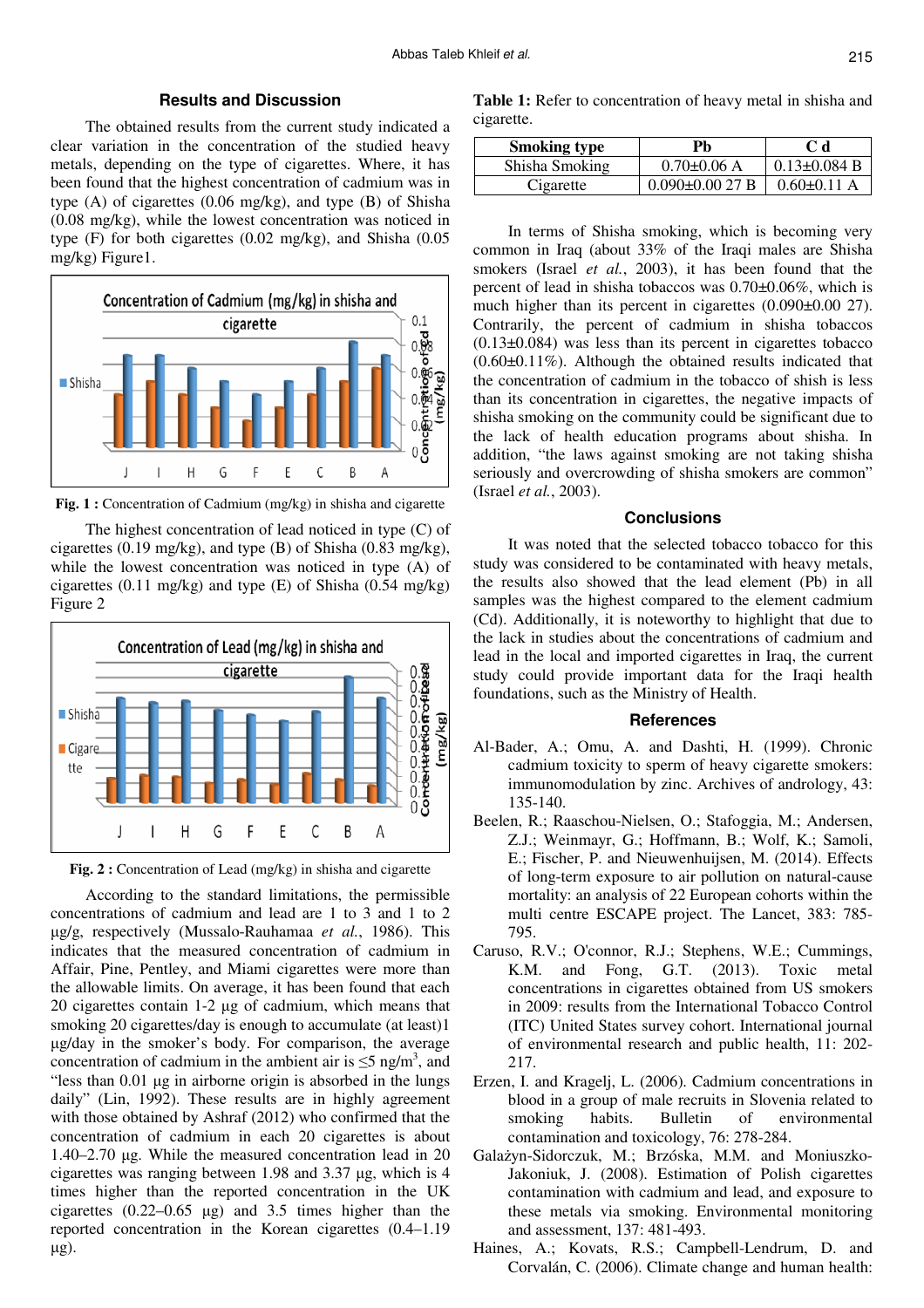## **Results and Discussion**

The obtained results from the current study indicated a clear variation in the concentration of the studied heavy metals, depending on the type of cigarettes. Where, it has been found that the highest concentration of cadmium was in type (A) of cigarettes (0.06 mg/kg), and type (B) of Shisha (0.08 mg/kg), while the lowest concentration was noticed in type (F) for both cigarettes (0.02 mg/kg), and Shisha (0.05 mg/kg) Figure1.



**Fig. 1 :** Concentration of Cadmium (mg/kg) in shisha and cigarette

The highest concentration of lead noticed in type (C) of cigarettes (0.19 mg/kg), and type (B) of Shisha (0.83 mg/kg), while the lowest concentration was noticed in type (A) of cigarettes (0.11 mg/kg) and type (E) of Shisha (0.54 mg/kg) Figure 2



**Fig. 2 :** Concentration of Lead (mg/kg) in shisha and cigarette

According to the standard limitations, the permissible concentrations of cadmium and lead are 1 to 3 and 1 to 2 µg/g, respectively (Mussalo-Rauhamaa *et al.*, 1986). This indicates that the measured concentration of cadmium in Affair, Pine, Pentley, and Miami cigarettes were more than the allowable limits. On average, it has been found that each 20 cigarettes contain 1-2 µg of cadmium, which means that smoking 20 cigarettes/day is enough to accumulate (at least)1 µg/day in the smoker's body. For comparison, the average concentration of cadmium in the ambient air is  $\leq$ 5 ng/m<sup>3</sup>, and "less than 0.01 µg in airborne origin is absorbed in the lungs daily" (Lin, 1992). These results are in highly agreement with those obtained by Ashraf (2012) who confirmed that the concentration of cadmium in each 20 cigarettes is about 1.40–2.70 µg. While the measured concentration lead in 20 cigarettes was ranging between 1.98 and 3.37 µg, which is 4 times higher than the reported concentration in the UK cigarettes  $(0.22-0.65 \text{ µg})$  and 3.5 times higher than the reported concentration in the Korean cigarettes (0.4–1.19 µg).

**Table 1:** Refer to concentration of heavy metal in shisha and cigarette.

| <b>Smoking type</b> | Ph                   | C d                |
|---------------------|----------------------|--------------------|
| Shisha Smoking      | $0.70\pm0.06$ A      | $0.13 \pm 0.084$ B |
| Cigarette           | $0.090 \pm 0.0027$ B | $0.60 \pm 0.11$ A  |

In terms of Shisha smoking, which is becoming very common in Iraq (about 33% of the Iraqi males are Shisha smokers (Israel *et al.*, 2003), it has been found that the percent of lead in shisha tobaccos was 0.70±0.06%, which is much higher than its percent in cigarettes  $(0.090\pm0.0027)$ . Contrarily, the percent of cadmium in shisha tobaccos  $(0.13\pm0.084)$  was less than its percent in cigarettes tobacco (0.60±0.11%). Although the obtained results indicated that the concentration of cadmium in the tobacco of shish is less than its concentration in cigarettes, the negative impacts of shisha smoking on the community could be significant due to the lack of health education programs about shisha. In addition, "the laws against smoking are not taking shisha seriously and overcrowding of shisha smokers are common" (Israel *et al.*, 2003).

# **Conclusions**

It was noted that the selected tobacco tobacco for this study was considered to be contaminated with heavy metals, the results also showed that the lead element (Pb) in all samples was the highest compared to the element cadmium (Cd). Additionally, it is noteworthy to highlight that due to the lack in studies about the concentrations of cadmium and lead in the local and imported cigarettes in Iraq, the current study could provide important data for the Iraqi health foundations, such as the Ministry of Health.

#### **References**

- Al-Bader, A.; Omu, A. and Dashti, H. (1999). Chronic cadmium toxicity to sperm of heavy cigarette smokers: immunomodulation by zinc. Archives of andrology, 43: 135-140.
- Beelen, R.; Raaschou-Nielsen, O.; Stafoggia, M.; Andersen, Z.J.; Weinmayr, G.; Hoffmann, B.; Wolf, K.; Samoli, E.; Fischer, P. and Nieuwenhuijsen, M. (2014). Effects of long-term exposure to air pollution on natural-cause mortality: an analysis of 22 European cohorts within the multi centre ESCAPE project. The Lancet, 383: 785- 795.
- Caruso, R.V.; O'connor, R.J.; Stephens, W.E.; Cummings, K.M. and Fong, G.T. (2013). Toxic metal concentrations in cigarettes obtained from US smokers in 2009: results from the International Tobacco Control (ITC) United States survey cohort. International journal of environmental research and public health, 11: 202- 217.
- Erzen, I. and Kragelj, L. (2006). Cadmium concentrations in blood in a group of male recruits in Slovenia related to smoking habits. Bulletin of environmental contamination and toxicology, 76: 278-284.
- Galażyn-Sidorczuk, M.; Brzóska, M.M. and Moniuszko-Jakoniuk, J. (2008). Estimation of Polish cigarettes contamination with cadmium and lead, and exposure to these metals via smoking. Environmental monitoring and assessment, 137: 481-493.
- Haines, A.; Kovats, R.S.; Campbell-Lendrum, D. and Corvalán, C. (2006). Climate change and human health: